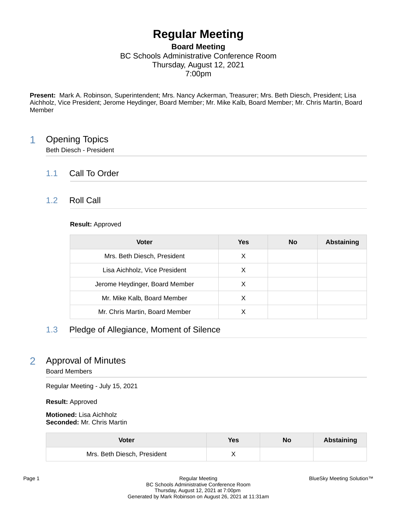# **Regular Meeting**

### **Board Meeting** BC Schools Administrative Conference Room Thursday, August 12, 2021 7:00pm

**Present:** Mark A. Robinson, Superintendent; Mrs. Nancy Ackerman, Treasurer; Mrs. Beth Diesch, President; Lisa Aichholz, Vice President; Jerome Heydinger, Board Member; Mr. Mike Kalb, Board Member; Mr. Chris Martin, Board Member

### 1 Opening Topics

Beth Diesch - President

### 1.1 Call To Order

### 1.2 Roll Call

#### **Result:** Approved

| <b>Voter</b>                   | Yes | <b>No</b> | Abstaining |
|--------------------------------|-----|-----------|------------|
| Mrs. Beth Diesch, President    | X   |           |            |
| Lisa Aichholz, Vice President  | X   |           |            |
| Jerome Heydinger, Board Member | X   |           |            |
| Mr. Mike Kalb, Board Member    | X   |           |            |
| Mr. Chris Martin, Board Member |     |           |            |

### 1.3 Pledge of Allegiance, Moment of Silence

# 2 Approval of Minutes

Board Members

Regular Meeting - July 15, 2021

**Result:** Approved

| Voter                       | Yes | No | <b>Abstaining</b> |
|-----------------------------|-----|----|-------------------|
| Mrs. Beth Diesch, President |     |    |                   |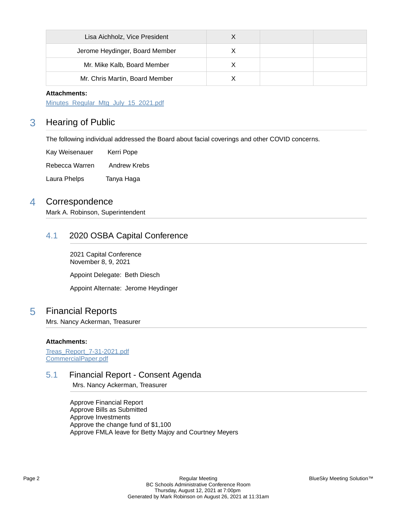| Lisa Aichholz, Vice President  |  |  |
|--------------------------------|--|--|
| Jerome Heydinger, Board Member |  |  |
| Mr. Mike Kalb, Board Member    |  |  |
| Mr. Chris Martin, Board Member |  |  |

[Minutes\\_Regular\\_Mtg\\_July\\_15\\_2021.pdf](https://bcbucks.blueskymeeting.com/meeting_groups/32/item_attachments/60254)

### 3 Hearing of Public

The following individual addressed the Board about facial coverings and other COVID concerns.

Kay Weisenauer Kerri Pope Rebecca Warren Andrew Krebs Laura Phelps Tanya Haga

### 4 Correspondence

Mark A. Robinson, Superintendent

### 4.1 2020 OSBA Capital Conference

2021 Capital Conference November 8, 9, 2021

Appoint Delegate: Beth Diesch

Appoint Alternate: Jerome Heydinger

### 5 Financial Reports

Mrs. Nancy Ackerman, Treasurer

#### **Attachments:**

[Treas\\_Report\\_7-31-2021.pdf](https://bcbucks.blueskymeeting.com/meeting_groups/32/item_attachments/60211) [CommercialPaper.pdf](https://bcbucks.blueskymeeting.com/meeting_groups/32/item_attachments/60332)

### 5.1 Financial Report - Consent Agenda

Mrs. Nancy Ackerman, Treasurer

Approve Financial Report Approve Bills as Submitted Approve Investments Approve the change fund of \$1,100 Approve FMLA leave for Betty Majoy and Courtney Meyers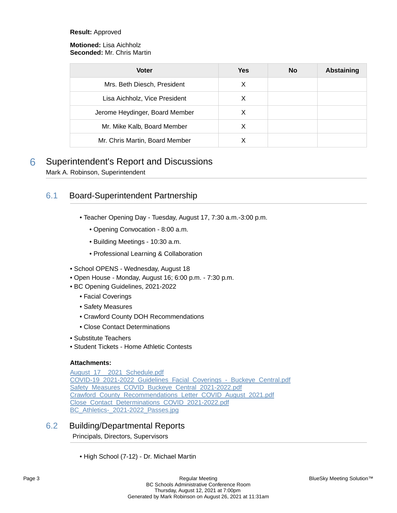#### **Result:** Approved

#### **Motioned:** Lisa Aichholz **Seconded:** Mr. Chris Martin

| <b>Voter</b>                   | Yes | <b>No</b> | <b>Abstaining</b> |
|--------------------------------|-----|-----------|-------------------|
| Mrs. Beth Diesch, President    | X   |           |                   |
| Lisa Aichholz, Vice President  | х   |           |                   |
| Jerome Heydinger, Board Member | X   |           |                   |
| Mr. Mike Kalb, Board Member    | X   |           |                   |
| Mr. Chris Martin, Board Member |     |           |                   |

# 6 Superintendent's Report and Discussions

Mark A. Robinson, Superintendent

### 6.1 Board-Superintendent Partnership

- Teacher Opening Day Tuesday, August 17, 7:30 a.m.-3:00 p.m.
	- Opening Convocation 8:00 a.m.
	- Building Meetings 10:30 a.m.
	- Professional Learning & Collaboration
- School OPENS Wednesday, August 18
- Open House Monday, August 16; 6:00 p.m. 7:30 p.m.
- BC Opening Guidelines, 2021-2022
	- Facial Coverings
	- Safety Measures
	- Crawford County DOH Recommendations
	- Close Contact Determinations
- Substitute Teachers
- Student Tickets Home Athletic Contests

#### **Attachments:**

[August\\_17\\_\\_2021\\_Schedule.pdf](https://bcbucks.blueskymeeting.com/meeting_groups/32/item_attachments/60255) [COVID-19\\_2021-2022\\_Guidelines\\_Facial\\_Coverings\\_-\\_Buckeye\\_Central.pdf](https://bcbucks.blueskymeeting.com/meeting_groups/32/item_attachments/60256) [Safety\\_Measures\\_COVID\\_Buckeye\\_Central\\_2021-2022.pdf](https://bcbucks.blueskymeeting.com/meeting_groups/32/item_attachments/60257) Crawford County Recommendations Letter COVID August 2021.pdf [Close\\_Contact\\_Determinations\\_COVID\\_2021-2022.pdf](https://bcbucks.blueskymeeting.com/meeting_groups/32/item_attachments/60259) BC Athletics- 2021-2022 Passes.jpg

### 6.2 Building/Departmental Reports

Principals, Directors, Supervisors

• High School (7-12) - Dr. Michael Martin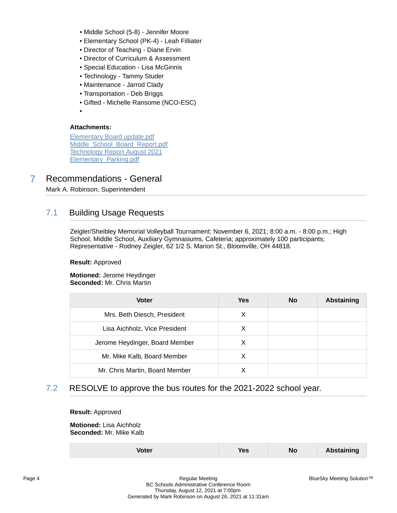- Middle School (5-8) Jennifer Moore
- Elementary School (PK-4) Leah Filliater
- Director of Teaching Diane Ervin
- Director of Curriculum & Assessment
- Special Education Lisa McGinnis
- Technology Tammy Studer
- Maintenance Jarrod Clady
- Transportation Deb Briggs
- Gifted Michelle Ransome (NCO-ESC)
- •

[Elementary Board update.pdf](https://bcbucks.blueskymeeting.com/meeting_groups/32/item_attachments/60206) [Middle\\_School\\_Board\\_Report.pdf](https://bcbucks.blueskymeeting.com/meeting_groups/32/item_attachments/60209) [Technology Report August 2021](https://bcbucks.blueskymeeting.com/meeting_groups/32/item_attachments/60210) [Elementary\\_Parking.pdf](https://bcbucks.blueskymeeting.com/meeting_groups/32/item_attachments/60267)

# 7 Recommendations - General

Mark A. Robinson, Superintendent

### 7.1 Building Usage Requests

Zeigler/Sheibley Memorial Volleyball Tournament; November 6, 2021; 8:00 a.m. - 8:00 p.m.; High School, Middle School, Auxiliary Gymnasiums, Cafeteria; approximately 100 participants; Representative - Rodney Zeigler, 62 1/2 S. Marion St., Bloomville, OH 44818.

#### **Result:** Approved

**Motioned:** Jerome Heydinger **Seconded:** Mr. Chris Martin

| <b>Voter</b>                   | <b>Yes</b> | <b>No</b> | <b>Abstaining</b> |
|--------------------------------|------------|-----------|-------------------|
| Mrs. Beth Diesch, President    | Х          |           |                   |
| Lisa Aichholz, Vice President  | X          |           |                   |
| Jerome Heydinger, Board Member | X          |           |                   |
| Mr. Mike Kalb, Board Member    | X          |           |                   |
| Mr. Chris Martin, Board Member |            |           |                   |

### 7.2 RESOLVE to approve the bus routes for the 2021-2022 school year.

#### **Result:** Approved

**Motioned:** Lisa Aichholz **Seconded:** Mr. Mike Kalb

| No<br><b>Abstaining</b><br>Yes<br><b>Voter</b> |
|------------------------------------------------|
|------------------------------------------------|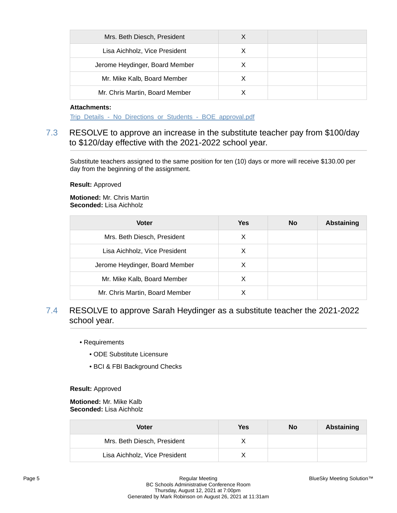| Mrs. Beth Diesch, President    |   |  |
|--------------------------------|---|--|
| Lisa Aichholz, Vice President  | X |  |
| Jerome Heydinger, Board Member | х |  |
| Mr. Mike Kalb, Board Member    |   |  |
| Mr. Chris Martin, Board Member |   |  |

Trip\_Details - No\_Directions\_or\_Students - BOE\_approval.pdf

### 7.3 RESOLVE to approve an increase in the substitute teacher pay from \$100/day to \$120/day effective with the 2021-2022 school year.

Substitute teachers assigned to the same position for ten (10) days or more will receive \$130.00 per day from the beginning of the assignment.

#### **Result:** Approved

**Motioned:** Mr. Chris Martin **Seconded:** Lisa Aichholz

| <b>Voter</b>                   | Yes | <b>No</b> | <b>Abstaining</b> |
|--------------------------------|-----|-----------|-------------------|
| Mrs. Beth Diesch, President    | X   |           |                   |
| Lisa Aichholz, Vice President  | X   |           |                   |
| Jerome Heydinger, Board Member | х   |           |                   |
| Mr. Mike Kalb, Board Member    | х   |           |                   |
| Mr. Chris Martin, Board Member |     |           |                   |

- 7.4 RESOLVE to approve Sarah Heydinger as a substitute teacher the 2021-2022 school year.
	- Requirements
		- ODE Substitute Licensure
		- BCI & FBI Background Checks

**Result:** Approved

**Motioned:** Mr. Mike Kalb **Seconded:** Lisa Aichholz

| Voter                         | Yes | No | <b>Abstaining</b> |
|-------------------------------|-----|----|-------------------|
| Mrs. Beth Diesch, President   |     |    |                   |
| Lisa Aichholz, Vice President |     |    |                   |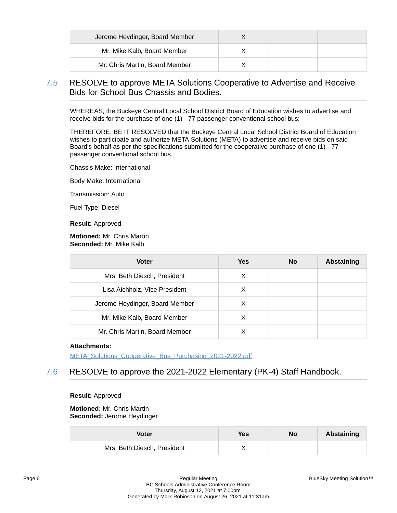| Jerome Heydinger, Board Member |  |  |
|--------------------------------|--|--|
| Mr. Mike Kalb, Board Member    |  |  |
| Mr. Chris Martin, Board Member |  |  |

### 7.5 RESOLVE to approve META Solutions Cooperative to Advertise and Receive Bids for School Bus Chassis and Bodies.

WHEREAS, the Buckeye Central Local School District Board of Education wishes to advertise and receive bids for the purchase of one (1) - 77 passenger conventional school bus;

THEREFORE, BE IT RESOLVED that the Buckeye Central Local School District Board of Education wishes to participate and authorize META Solutions (META) to advertise and receive bids on said Board's behalf as per the specifications submitted for the cooperative purchase of one (1) - 77 passenger conventional school bus.

Chassis Make: International

Body Make: International

Transmission: Auto

Fuel Type: Diesel

**Result:** Approved

#### **Motioned:** Mr. Chris Martin **Seconded:** Mr. Mike Kalb

| <b>Voter</b>                   | <b>Yes</b> | <b>No</b> | Abstaining |
|--------------------------------|------------|-----------|------------|
| Mrs. Beth Diesch, President    | X          |           |            |
| Lisa Aichholz, Vice President  | х          |           |            |
| Jerome Heydinger, Board Member | X          |           |            |
| Mr. Mike Kalb, Board Member    | X          |           |            |
| Mr. Chris Martin, Board Member |            |           |            |

#### **Attachments:**

[META\\_Solutions\\_Cooperative\\_Bus\\_Purchasing\\_2021-2022.pdf](https://bcbucks.blueskymeeting.com/meeting_groups/32/item_attachments/60262)

### 7.6 RESOLVE to approve the 2021-2022 Elementary (PK-4) Staff Handbook.

#### **Result:** Approved

#### **Motioned:** Mr. Chris Martin **Seconded:** Jerome Heydinger

| <b>Voter</b>                | <b>Yes</b> | No | Abstaining |
|-----------------------------|------------|----|------------|
| Mrs. Beth Diesch, President |            |    |            |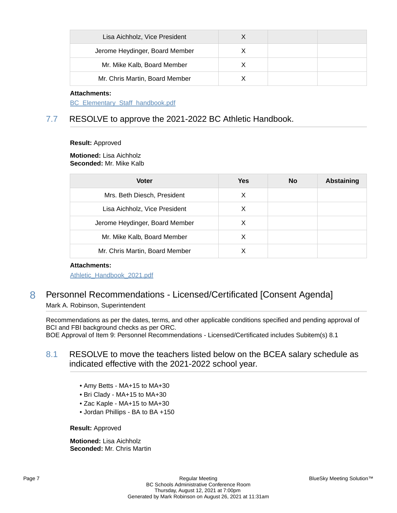| Lisa Aichholz, Vice President  |  |  |
|--------------------------------|--|--|
| Jerome Heydinger, Board Member |  |  |
| Mr. Mike Kalb, Board Member    |  |  |
| Mr. Chris Martin, Board Member |  |  |

[BC\\_Elementary\\_Staff\\_handbook.pdf](https://bcbucks.blueskymeeting.com/meeting_groups/32/item_attachments/60283)

### 7.7 RESOLVE to approve the 2021-2022 BC Athletic Handbook.

**Result:** Approved

#### **Motioned:** Lisa Aichholz **Seconded:** Mr. Mike Kalb

| <b>Voter</b>                   | Yes | <b>No</b> | <b>Abstaining</b> |
|--------------------------------|-----|-----------|-------------------|
| Mrs. Beth Diesch, President    | X   |           |                   |
| Lisa Aichholz, Vice President  | X   |           |                   |
| Jerome Heydinger, Board Member | X   |           |                   |
| Mr. Mike Kalb, Board Member    | X   |           |                   |
| Mr. Chris Martin, Board Member |     |           |                   |

#### **Attachments:**

[Athletic\\_Handbook\\_2021.pdf](https://bcbucks.blueskymeeting.com/meeting_groups/32/item_attachments/60264)

### 8 Personnel Recommendations - Licensed/Certificated [Consent Agenda] Mark A. Robinson, Superintendent

Recommendations as per the dates, terms, and other applicable conditions specified and pending approval of BCI and FBI background checks as per ORC.

BOE Approval of Item 9: Personnel Recommendations - Licensed/Certificated includes Subitem(s) 8.1

### 8.1 RESOLVE to move the teachers listed below on the BCEA salary schedule as indicated effective with the 2021-2022 school year.

- Amy Betts MA+15 to MA+30
- Bri Clady MA+15 to MA+30
- Zac Kaple MA+15 to MA+30
- Jordan Phillips BA to BA +150

**Result:** Approved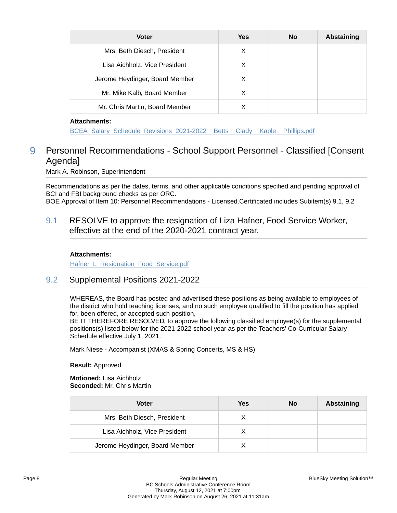| <b>Voter</b>                   | <b>Yes</b> | <b>No</b> | Abstaining |
|--------------------------------|------------|-----------|------------|
| Mrs. Beth Diesch, President    | X          |           |            |
| Lisa Aichholz, Vice President  | X          |           |            |
| Jerome Heydinger, Board Member | х          |           |            |
| Mr. Mike Kalb, Board Member    | х          |           |            |
| Mr. Chris Martin, Board Member |            |           |            |

BCEA Salary Schedule Revisions 2021-2022 Betts Clady Kaple Phillips.pdf

# 9 Personnel Recommendations - School Support Personnel - Classified [Consent Agenda]

Mark A. Robinson, Superintendent

Recommendations as per the dates, terms, and other applicable conditions specified and pending approval of BCI and FBI background checks as per ORC.

BOE Approval of Item 10: Personnel Recommendations - Licensed.Certificated includes Subitem(s) 9.1, 9.2

9.1 RESOLVE to approve the resignation of Liza Hafner, Food Service Worker, effective at the end of the 2020-2021 contract year.

#### **Attachments:**

Hafner L Resignation Food Service.pdf

#### 9.2 Supplemental Positions 2021-2022

WHEREAS, the Board has posted and advertised these positions as being available to employees of the district who hold teaching licenses, and no such employee qualified to fill the position has applied for, been offered, or accepted such position,

BE IT THEREFORE RESOLVED, to approve the following classified employee(s) for the supplemental positions(s) listed below for the 2021-2022 school year as per the Teachers' Co-Curricular Salary Schedule effective July 1, 2021.

Mark Niese - Accompanist (XMAS & Spring Concerts, MS & HS)

**Result:** Approved

| Voter                          | Yes | No | Abstaining |
|--------------------------------|-----|----|------------|
| Mrs. Beth Diesch, President    |     |    |            |
| Lisa Aichholz, Vice President  |     |    |            |
| Jerome Heydinger, Board Member |     |    |            |